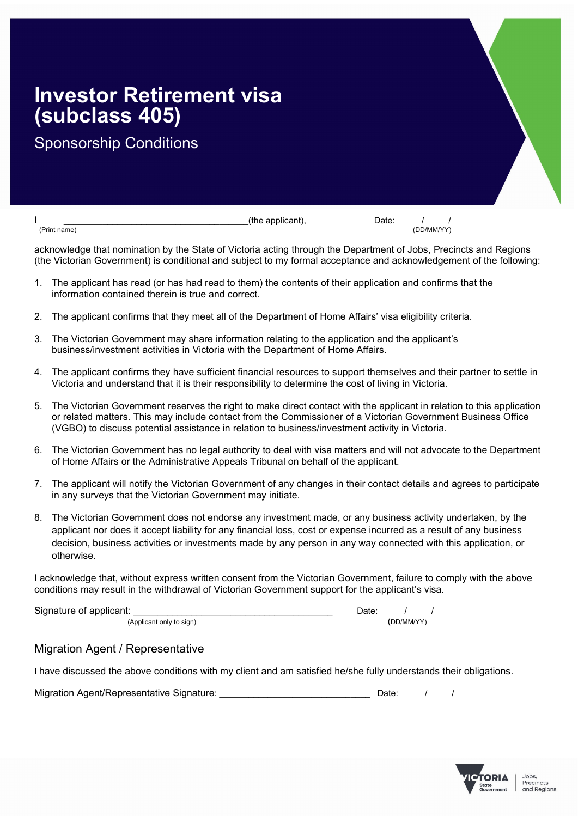## Investor Retirement visa (subclass 405)

Sponsorship Conditions

 $\frac{1}{(Print name)}$   $\frac{1}{(Point name)}$  (the applicant),  $\frac{1}{(Deint name)}$   $\frac{1}{(DD/MM/YY)}$ (Print name) (DD/MM/YY)

acknowledge that nomination by the State of Victoria acting through the Department of Jobs, Precincts and Regions (the Victorian Government) is conditional and subject to my formal acceptance and acknowledgement of the following:

- 1. The applicant has read (or has had read to them) the contents of their application and confirms that the information contained therein is true and correct.
- 2. The applicant confirms that they meet all of the Department of Home Affairs' visa eligibility criteria.
- 3. The Victorian Government may share information relating to the application and the applicant's business/investment activities in Victoria with the Department of Home Affairs.
- 4. The applicant confirms they have sufficient financial resources to support themselves and their partner to settle in Victoria and understand that it is their responsibility to determine the cost of living in Victoria.
- 5. The Victorian Government reserves the right to make direct contact with the applicant in relation to this application or related matters. This may include contact from the Commissioner of a Victorian Government Business Office (VGBO) to discuss potential assistance in relation to business/investment activity in Victoria.
- 6. The Victorian Government has no legal authority to deal with visa matters and will not advocate to the Department of Home Affairs or the Administrative Appeals Tribunal on behalf of the applicant.
- 7. The applicant will notify the Victorian Government of any changes in their contact details and agrees to participate in any surveys that the Victorian Government may initiate.
- 8. The Victorian Government does not endorse any investment made, or any business activity undertaken, by the applicant nor does it accept liability for any financial loss, cost or expense incurred as a result of any business decision, business activities or investments made by any person in any way connected with this application, or otherwise.

I acknowledge that, without express written consent from the Victorian Government, failure to comply with the above conditions may result in the withdrawal of Victorian Government support for the applicant's visa.

Signature of applicant:  $\begin{array}{ccc} \hline \end{array}$ 

(Applicant only to sign) (DD/MM/YY)

## Migration Agent / Representative

I have discussed the above conditions with my client and am satisfied he/she fully understands their obligations.

| Migration Agent/Representative Signature: | Date: |  |
|-------------------------------------------|-------|--|
|                                           |       |  |